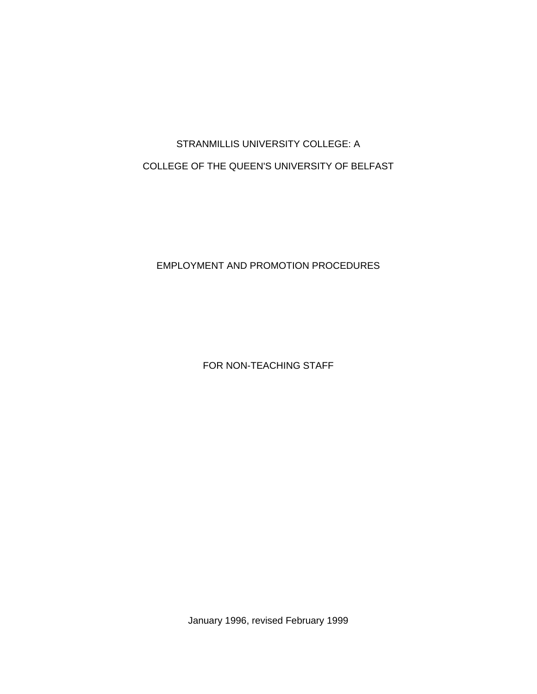# STRANMILLIS UNIVERSITY COLLEGE: A COLLEGE OF THE QUEEN'S UNIVERSITY OF BELFAST

## EMPLOYMENT AND PROMOTION PROCEDURES

FOR NON-TEACHING STAFF

January 1996, revised February 1999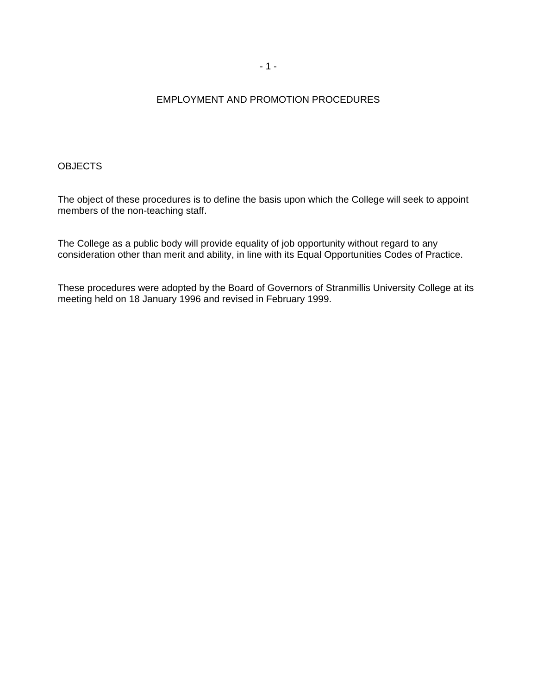## EMPLOYMENT AND PROMOTION PROCEDURES

#### **OBJECTS**

The object of these procedures is to define the basis upon which the College will seek to appoint members of the non-teaching staff.

The College as a public body will provide equality of job opportunity without regard to any consideration other than merit and ability, in line with its Equal Opportunities Codes of Practice.

These procedures were adopted by the Board of Governors of Stranmillis University College at its meeting held on 18 January 1996 and revised in February 1999.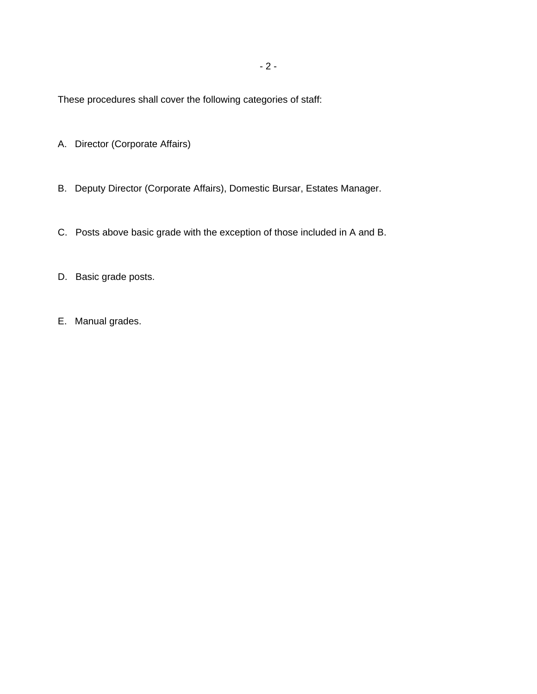These procedures shall cover the following categories of staff:

- A. Director (Corporate Affairs)
- B. Deputy Director (Corporate Affairs), Domestic Bursar, Estates Manager.
- C. Posts above basic grade with the exception of those included in A and B.
- D. Basic grade posts.
- E. Manual grades.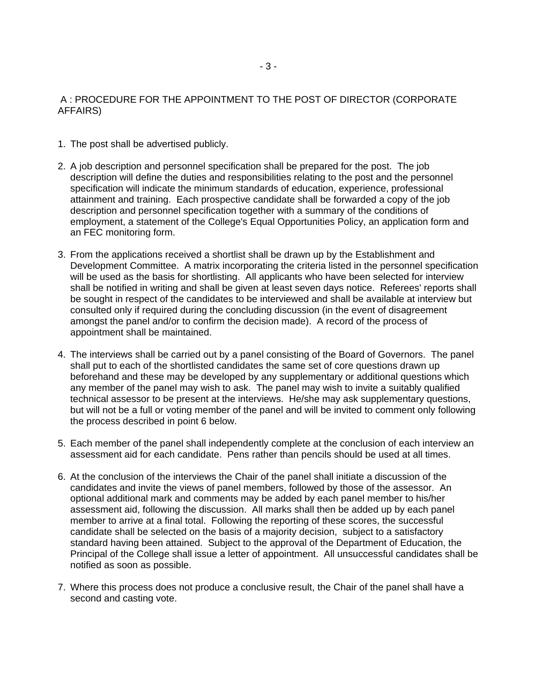## A : PROCEDURE FOR THE APPOINTMENT TO THE POST OF DIRECTOR (CORPORATE AFFAIRS)

- 1. The post shall be advertised publicly.
- 2. A job description and personnel specification shall be prepared for the post. The job description will define the duties and responsibilities relating to the post and the personnel specification will indicate the minimum standards of education, experience, professional attainment and training. Each prospective candidate shall be forwarded a copy of the job description and personnel specification together with a summary of the conditions of employment, a statement of the College's Equal Opportunities Policy, an application form and an FEC monitoring form.
- 3. From the applications received a shortlist shall be drawn up by the Establishment and Development Committee. A matrix incorporating the criteria listed in the personnel specification will be used as the basis for shortlisting. All applicants who have been selected for interview shall be notified in writing and shall be given at least seven days notice. Referees' reports shall be sought in respect of the candidates to be interviewed and shall be available at interview but consulted only if required during the concluding discussion (in the event of disagreement amongst the panel and/or to confirm the decision made). A record of the process of appointment shall be maintained.
- 4. The interviews shall be carried out by a panel consisting of the Board of Governors. The panel shall put to each of the shortlisted candidates the same set of core questions drawn up beforehand and these may be developed by any supplementary or additional questions which any member of the panel may wish to ask. The panel may wish to invite a suitably qualified technical assessor to be present at the interviews. He/she may ask supplementary questions, but will not be a full or voting member of the panel and will be invited to comment only following the process described in point 6 below.
- 5. Each member of the panel shall independently complete at the conclusion of each interview an assessment aid for each candidate. Pens rather than pencils should be used at all times.
- 6. At the conclusion of the interviews the Chair of the panel shall initiate a discussion of the candidates and invite the views of panel members, followed by those of the assessor. An optional additional mark and comments may be added by each panel member to his/her assessment aid, following the discussion. All marks shall then be added up by each panel member to arrive at a final total. Following the reporting of these scores, the successful candidate shall be selected on the basis of a majority decision, subject to a satisfactory standard having been attained. Subject to the approval of the Department of Education, the Principal of the College shall issue a letter of appointment. All unsuccessful candidates shall be notified as soon as possible.
- 7. Where this process does not produce a conclusive result, the Chair of the panel shall have a second and casting vote.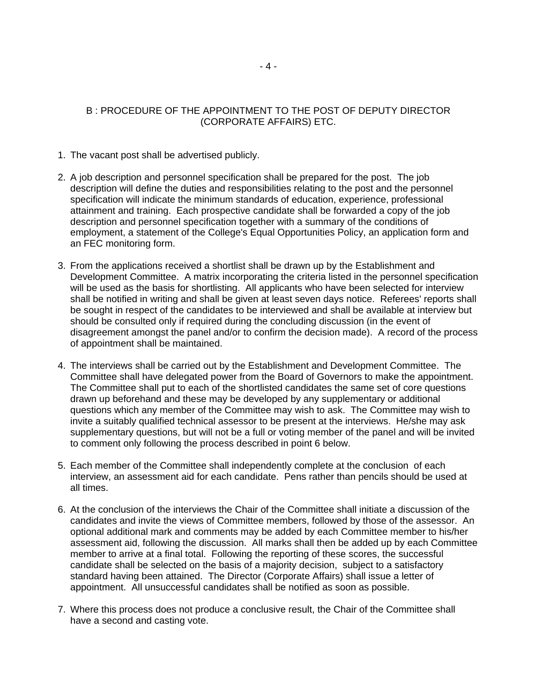## B : PROCEDURE OF THE APPOINTMENT TO THE POST OF DEPUTY DIRECTOR (CORPORATE AFFAIRS) ETC.

- 1. The vacant post shall be advertised publicly.
- 2. A job description and personnel specification shall be prepared for the post. The job description will define the duties and responsibilities relating to the post and the personnel specification will indicate the minimum standards of education, experience, professional attainment and training. Each prospective candidate shall be forwarded a copy of the job description and personnel specification together with a summary of the conditions of employment, a statement of the College's Equal Opportunities Policy, an application form and an FEC monitoring form.
- 3. From the applications received a shortlist shall be drawn up by the Establishment and Development Committee. A matrix incorporating the criteria listed in the personnel specification will be used as the basis for shortlisting. All applicants who have been selected for interview shall be notified in writing and shall be given at least seven days notice. Referees' reports shall be sought in respect of the candidates to be interviewed and shall be available at interview but should be consulted only if required during the concluding discussion (in the event of disagreement amongst the panel and/or to confirm the decision made). A record of the process of appointment shall be maintained.
- 4. The interviews shall be carried out by the Establishment and Development Committee. The Committee shall have delegated power from the Board of Governors to make the appointment. The Committee shall put to each of the shortlisted candidates the same set of core questions drawn up beforehand and these may be developed by any supplementary or additional questions which any member of the Committee may wish to ask. The Committee may wish to invite a suitably qualified technical assessor to be present at the interviews. He/she may ask supplementary questions, but will not be a full or voting member of the panel and will be invited to comment only following the process described in point 6 below.
- 5. Each member of the Committee shall independently complete at the conclusion of each interview, an assessment aid for each candidate. Pens rather than pencils should be used at all times.
- 6. At the conclusion of the interviews the Chair of the Committee shall initiate a discussion of the candidates and invite the views of Committee members, followed by those of the assessor. An optional additional mark and comments may be added by each Committee member to his/her assessment aid, following the discussion. All marks shall then be added up by each Committee member to arrive at a final total. Following the reporting of these scores, the successful candidate shall be selected on the basis of a majority decision, subject to a satisfactory standard having been attained. The Director (Corporate Affairs) shall issue a letter of appointment. All unsuccessful candidates shall be notified as soon as possible.
- 7. Where this process does not produce a conclusive result, the Chair of the Committee shall have a second and casting vote.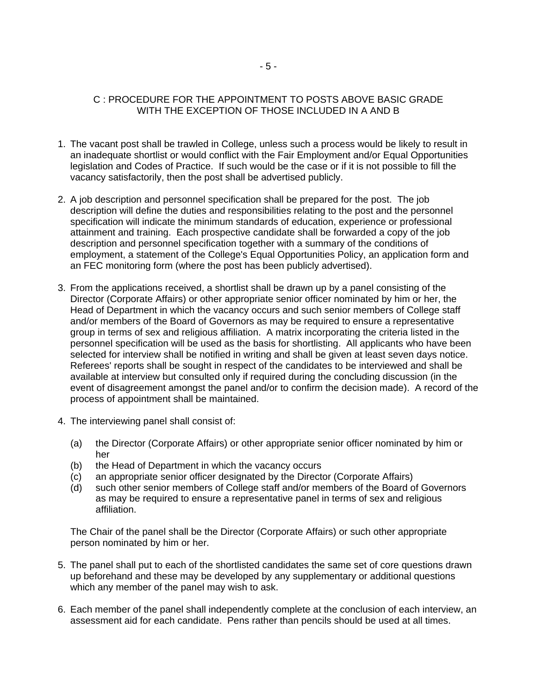## C : PROCEDURE FOR THE APPOINTMENT TO POSTS ABOVE BASIC GRADE WITH THE EXCEPTION OF THOSE INCLUDED IN A AND B

- 1. The vacant post shall be trawled in College, unless such a process would be likely to result in an inadequate shortlist or would conflict with the Fair Employment and/or Equal Opportunities legislation and Codes of Practice. If such would be the case or if it is not possible to fill the vacancy satisfactorily, then the post shall be advertised publicly.
- 2. A job description and personnel specification shall be prepared for the post. The job description will define the duties and responsibilities relating to the post and the personnel specification will indicate the minimum standards of education, experience or professional attainment and training. Each prospective candidate shall be forwarded a copy of the job description and personnel specification together with a summary of the conditions of employment, a statement of the College's Equal Opportunities Policy, an application form and an FEC monitoring form (where the post has been publicly advertised).
- 3. From the applications received, a shortlist shall be drawn up by a panel consisting of the Director (Corporate Affairs) or other appropriate senior officer nominated by him or her, the Head of Department in which the vacancy occurs and such senior members of College staff and/or members of the Board of Governors as may be required to ensure a representative group in terms of sex and religious affiliation. A matrix incorporating the criteria listed in the personnel specification will be used as the basis for shortlisting. All applicants who have been selected for interview shall be notified in writing and shall be given at least seven days notice. Referees' reports shall be sought in respect of the candidates to be interviewed and shall be available at interview but consulted only if required during the concluding discussion (in the event of disagreement amongst the panel and/or to confirm the decision made). A record of the process of appointment shall be maintained.
- 4. The interviewing panel shall consist of:
	- (a) the Director (Corporate Affairs) or other appropriate senior officer nominated by him or her
	- (b) the Head of Department in which the vacancy occurs
	- (c) an appropriate senior officer designated by the Director (Corporate Affairs)
	- (d) such other senior members of College staff and/or members of the Board of Governors as may be required to ensure a representative panel in terms of sex and religious affiliation.

The Chair of the panel shall be the Director (Corporate Affairs) or such other appropriate person nominated by him or her.

- 5. The panel shall put to each of the shortlisted candidates the same set of core questions drawn up beforehand and these may be developed by any supplementary or additional questions which any member of the panel may wish to ask.
- 6. Each member of the panel shall independently complete at the conclusion of each interview, an assessment aid for each candidate. Pens rather than pencils should be used at all times.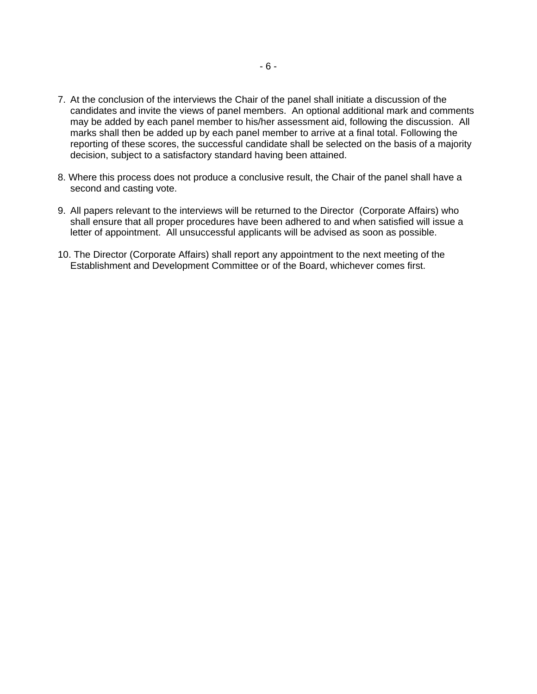- 7. At the conclusion of the interviews the Chair of the panel shall initiate a discussion of the candidates and invite the views of panel members. An optional additional mark and comments may be added by each panel member to his/her assessment aid, following the discussion. All marks shall then be added up by each panel member to arrive at a final total. Following the reporting of these scores, the successful candidate shall be selected on the basis of a majority decision, subject to a satisfactory standard having been attained.
- 8. Where this process does not produce a conclusive result, the Chair of the panel shall have a second and casting vote.
- 9. All papers relevant to the interviews will be returned to the Director (Corporate Affairs) who shall ensure that all proper procedures have been adhered to and when satisfied will issue a letter of appointment. All unsuccessful applicants will be advised as soon as possible.
- 10. The Director (Corporate Affairs) shall report any appointment to the next meeting of the Establishment and Development Committee or of the Board, whichever comes first.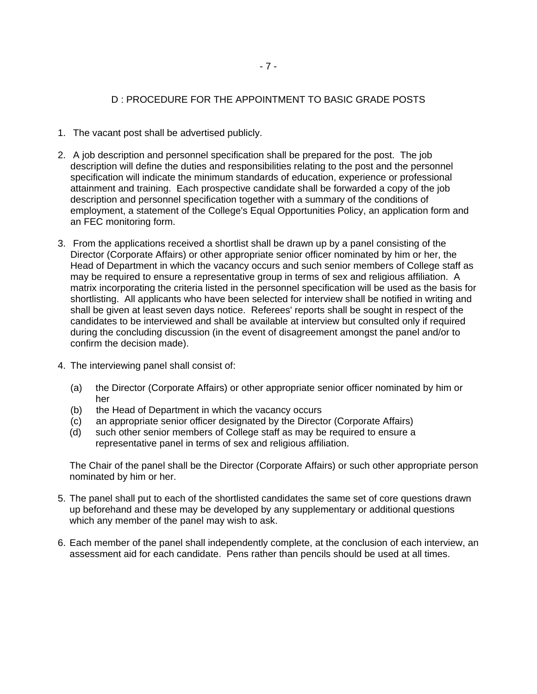### D : PROCEDURE FOR THE APPOINTMENT TO BASIC GRADE POSTS

- 1. The vacant post shall be advertised publicly.
- 2. A job description and personnel specification shall be prepared for the post. The job description will define the duties and responsibilities relating to the post and the personnel specification will indicate the minimum standards of education, experience or professional attainment and training. Each prospective candidate shall be forwarded a copy of the job description and personnel specification together with a summary of the conditions of employment, a statement of the College's Equal Opportunities Policy, an application form and an FEC monitoring form.
- 3. From the applications received a shortlist shall be drawn up by a panel consisting of the Director (Corporate Affairs) or other appropriate senior officer nominated by him or her, the Head of Department in which the vacancy occurs and such senior members of College staff as may be required to ensure a representative group in terms of sex and religious affiliation. A matrix incorporating the criteria listed in the personnel specification will be used as the basis for shortlisting. All applicants who have been selected for interview shall be notified in writing and shall be given at least seven days notice. Referees' reports shall be sought in respect of the candidates to be interviewed and shall be available at interview but consulted only if required during the concluding discussion (in the event of disagreement amongst the panel and/or to confirm the decision made).
- 4. The interviewing panel shall consist of:
	- (a) the Director (Corporate Affairs) or other appropriate senior officer nominated by him or her
	- (b) the Head of Department in which the vacancy occurs
	- (c) an appropriate senior officer designated by the Director (Corporate Affairs)
	- (d) such other senior members of College staff as may be required to ensure a representative panel in terms of sex and religious affiliation.

The Chair of the panel shall be the Director (Corporate Affairs) or such other appropriate person nominated by him or her.

- 5. The panel shall put to each of the shortlisted candidates the same set of core questions drawn up beforehand and these may be developed by any supplementary or additional questions which any member of the panel may wish to ask.
- 6. Each member of the panel shall independently complete, at the conclusion of each interview, an assessment aid for each candidate. Pens rather than pencils should be used at all times.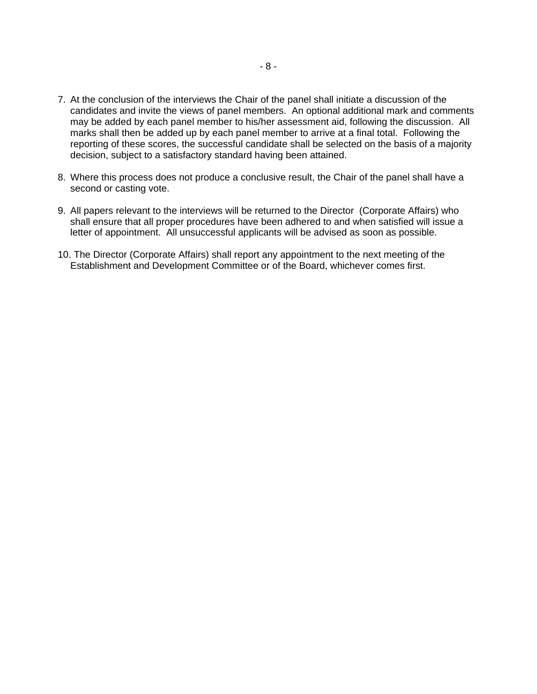- 7. At the conclusion of the interviews the Chair of the panel shall initiate a discussion of the candidates and invite the views of panel members. An optional additional mark and comments may be added by each panel member to his/her assessment aid, following the discussion. All marks shall then be added up by each panel member to arrive at a final total. Following the reporting of these scores, the successful candidate shall be selected on the basis of a majority decision, subject to a satisfactory standard having been attained.
- 8. Where this process does not produce a conclusive result, the Chair of the panel shall have a second or casting vote.
- 9. All papers relevant to the interviews will be returned to the Director (Corporate Affairs) who shall ensure that all proper procedures have been adhered to and when satisfied will issue a letter of appointment. All unsuccessful applicants will be advised as soon as possible.
- 10. The Director (Corporate Affairs) shall report any appointment to the next meeting of the Establishment and Development Committee or of the Board, whichever comes first.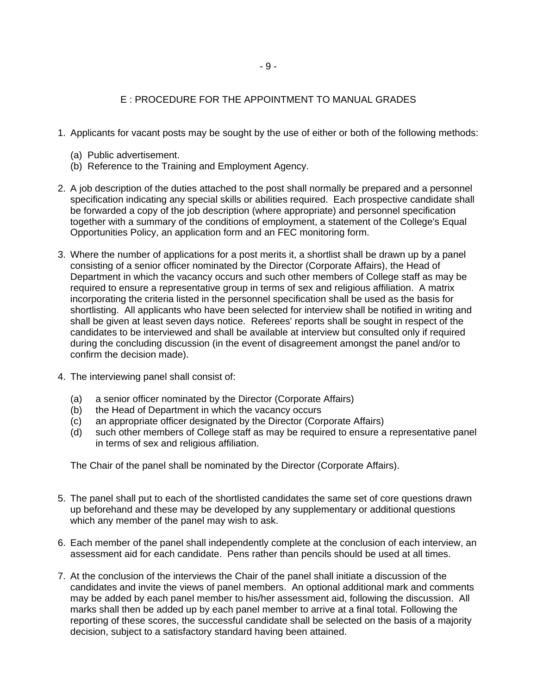## E : PROCEDURE FOR THE APPOINTMENT TO MANUAL GRADES

- 1. Applicants for vacant posts may be sought by the use of either or both of the following methods:
	- (a) Public advertisement.
	- (b) Reference to the Training and Employment Agency.
- 2. A job description of the duties attached to the post shall normally be prepared and a personnel specification indicating any special skills or abilities required. Each prospective candidate shall be forwarded a copy of the job description (where appropriate) and personnel specification together with a summary of the conditions of employment, a statement of the College's Equal Opportunities Policy, an application form and an FEC monitoring form.
- 3. Where the number of applications for a post merits it, a shortlist shall be drawn up by a panel consisting of a senior officer nominated by the Director (Corporate Affairs), the Head of Department in which the vacancy occurs and such other members of College staff as may be required to ensure a representative group in terms of sex and religious affiliation. A matrix incorporating the criteria listed in the personnel specification shall be used as the basis for shortlisting. All applicants who have been selected for interview shall be notified in writing and shall be given at least seven days notice. Referees' reports shall be sought in respect of the candidates to be interviewed and shall be available at interview but consulted only if required during the concluding discussion (in the event of disagreement amongst the panel and/or to confirm the decision made).
- 4. The interviewing panel shall consist of:
	- (a) a senior officer nominated by the Director (Corporate Affairs)
	- (b) the Head of Department in which the vacancy occurs
	- (c) an appropriate officer designated by the Director (Corporate Affairs)
	- (d) such other members of College staff as may be required to ensure a representative panel in terms of sex and religious affiliation.

The Chair of the panel shall be nominated by the Director (Corporate Affairs).

- 5. The panel shall put to each of the shortlisted candidates the same set of core questions drawn up beforehand and these may be developed by any supplementary or additional questions which any member of the panel may wish to ask.
- 6. Each member of the panel shall independently complete at the conclusion of each interview, an assessment aid for each candidate. Pens rather than pencils should be used at all times.
- 7. At the conclusion of the interviews the Chair of the panel shall initiate a discussion of the candidates and invite the views of panel members. An optional additional mark and comments may be added by each panel member to his/her assessment aid, following the discussion. All marks shall then be added up by each panel member to arrive at a final total. Following the reporting of these scores, the successful candidate shall be selected on the basis of a majority decision, subject to a satisfactory standard having been attained.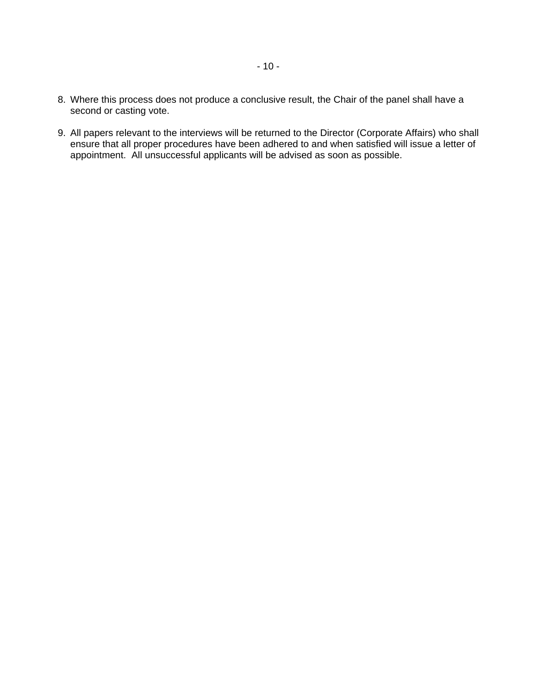- 8. Where this process does not produce a conclusive result, the Chair of the panel shall have a second or casting vote.
- 9. All papers relevant to the interviews will be returned to the Director (Corporate Affairs) who shall ensure that all proper procedures have been adhered to and when satisfied will issue a letter of appointment. All unsuccessful applicants will be advised as soon as possible.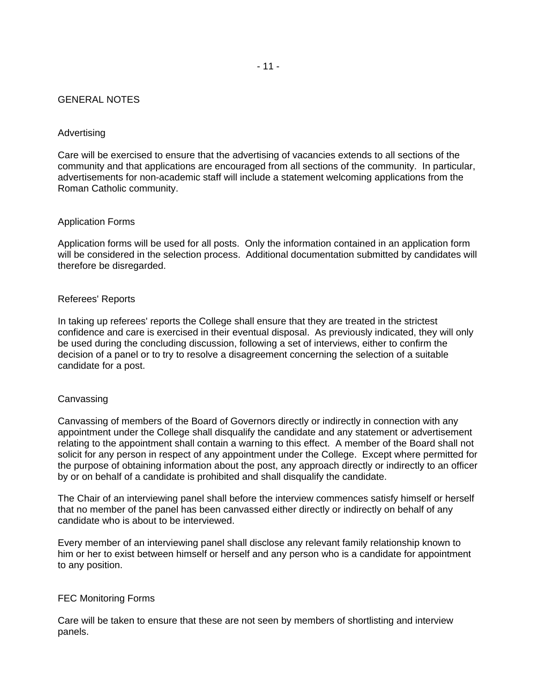#### GENERAL NOTES

#### Advertising

Care will be exercised to ensure that the advertising of vacancies extends to all sections of the community and that applications are encouraged from all sections of the community. In particular, advertisements for non-academic staff will include a statement welcoming applications from the Roman Catholic community.

#### Application Forms

Application forms will be used for all posts. Only the information contained in an application form will be considered in the selection process. Additional documentation submitted by candidates will therefore be disregarded.

#### Referees' Reports

In taking up referees' reports the College shall ensure that they are treated in the strictest confidence and care is exercised in their eventual disposal. As previously indicated, they will only be used during the concluding discussion, following a set of interviews, either to confirm the decision of a panel or to try to resolve a disagreement concerning the selection of a suitable candidate for a post.

#### Canvassing

Canvassing of members of the Board of Governors directly or indirectly in connection with any appointment under the College shall disqualify the candidate and any statement or advertisement relating to the appointment shall contain a warning to this effect. A member of the Board shall not solicit for any person in respect of any appointment under the College. Except where permitted for the purpose of obtaining information about the post, any approach directly or indirectly to an officer by or on behalf of a candidate is prohibited and shall disqualify the candidate.

The Chair of an interviewing panel shall before the interview commences satisfy himself or herself that no member of the panel has been canvassed either directly or indirectly on behalf of any candidate who is about to be interviewed.

Every member of an interviewing panel shall disclose any relevant family relationship known to him or her to exist between himself or herself and any person who is a candidate for appointment to any position.

#### FEC Monitoring Forms

Care will be taken to ensure that these are not seen by members of shortlisting and interview panels.